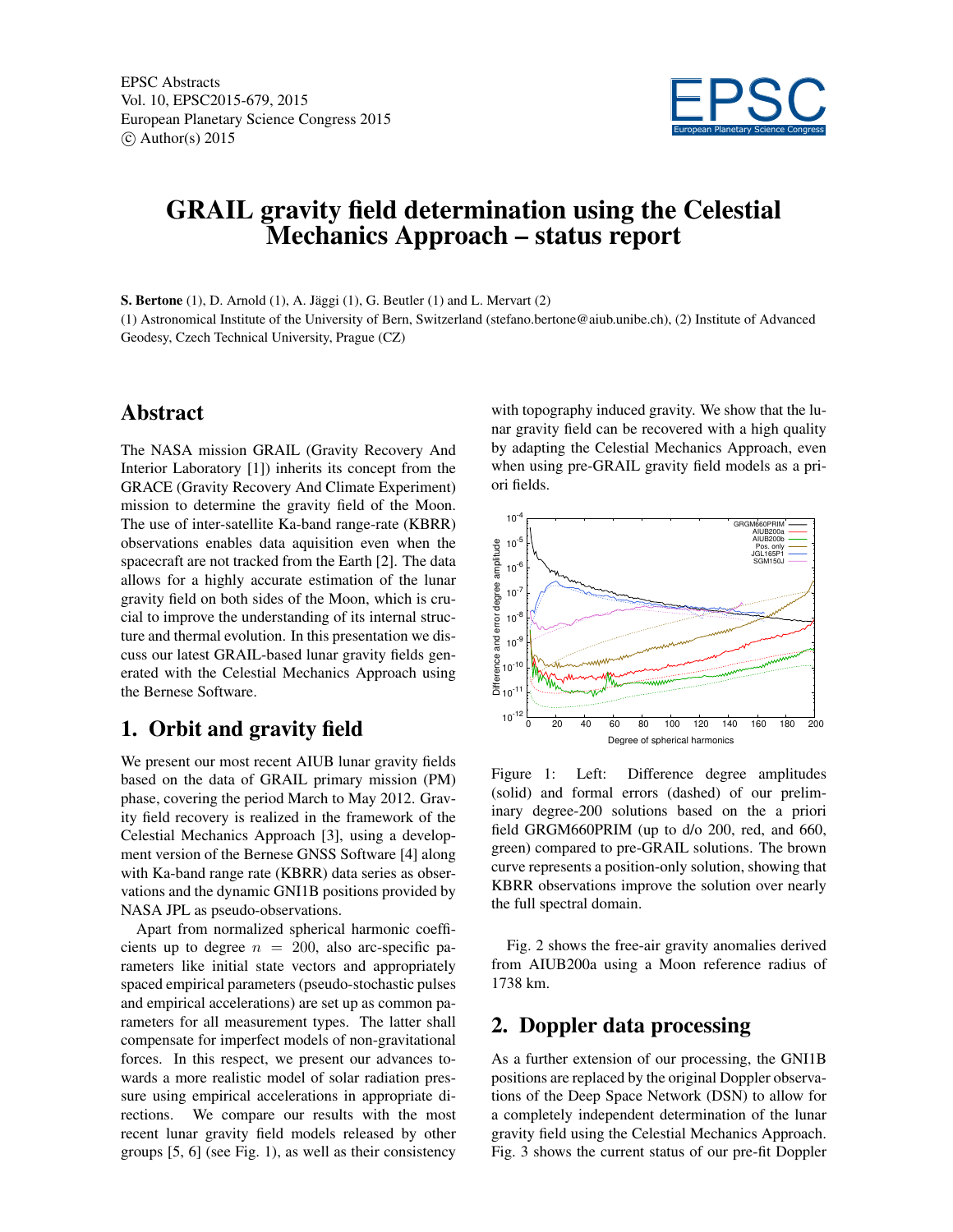

# GRAIL gravity field determination using the Celestial Mechanics Approach – status report

S. Bertone (1), D. Arnold (1), A. Jäggi (1), G. Beutler (1) and L. Mervart (2)

(1) Astronomical Institute of the University of Bern, Switzerland (stefano.bertone@aiub.unibe.ch), (2) Institute of Advanced Geodesy, Czech Technical University, Prague (CZ)

# Abstract

The NASA mission GRAIL (Gravity Recovery And Interior Laboratory [1]) inherits its concept from the GRACE (Gravity Recovery And Climate Experiment) mission to determine the gravity field of the Moon. The use of inter-satellite Ka-band range-rate (KBRR) observations enables data aquisition even when the spacecraft are not tracked from the Earth [2]. The data allows for a highly accurate estimation of the lunar gravity field on both sides of the Moon, which is crucial to improve the understanding of its internal structure and thermal evolution. In this presentation we discuss our latest GRAIL-based lunar gravity fields generated with the Celestial Mechanics Approach using the Bernese Software.

# 1. Orbit and gravity field

We present our most recent AIUB lunar gravity fields based on the data of GRAIL primary mission (PM) phase, covering the period March to May 2012. Gravity field recovery is realized in the framework of the Celestial Mechanics Approach [3], using a development version of the Bernese GNSS Software [4] along with Ka-band range rate (KBRR) data series as observations and the dynamic GNI1B positions provided by NASA JPL as pseudo-observations.

Apart from normalized spherical harmonic coefficients up to degree  $n = 200$ , also arc-specific parameters like initial state vectors and appropriately spaced empirical parameters (pseudo-stochastic pulses and empirical accelerations) are set up as common parameters for all measurement types. The latter shall compensate for imperfect models of non-gravitational forces. In this respect, we present our advances towards a more realistic model of solar radiation pressure using empirical accelerations in appropriate directions. We compare our results with the most recent lunar gravity field models released by other groups [5, 6] (see Fig. 1), as well as their consistency with topography induced gravity. We show that the lunar gravity field can be recovered with a high quality by adapting the Celestial Mechanics Approach, even when using pre-GRAIL gravity field models as a priori fields.



Figure 1: Left: Difference degree amplitudes (solid) and formal errors (dashed) of our preliminary degree-200 solutions based on the a priori field GRGM660PRIM (up to d/o 200, red, and 660, green) compared to pre-GRAIL solutions. The brown curve represents a position-only solution, showing that KBRR observations improve the solution over nearly the full spectral domain.

Fig. 2 shows the free-air gravity anomalies derived from AIUB200a using a Moon reference radius of 1738 km.

# 2. Doppler data processing

As a further extension of our processing, the GNI1B positions are replaced by the original Doppler observations of the Deep Space Network (DSN) to allow for a completely independent determination of the lunar gravity field using the Celestial Mechanics Approach. Fig. 3 shows the current status of our pre-fit Doppler